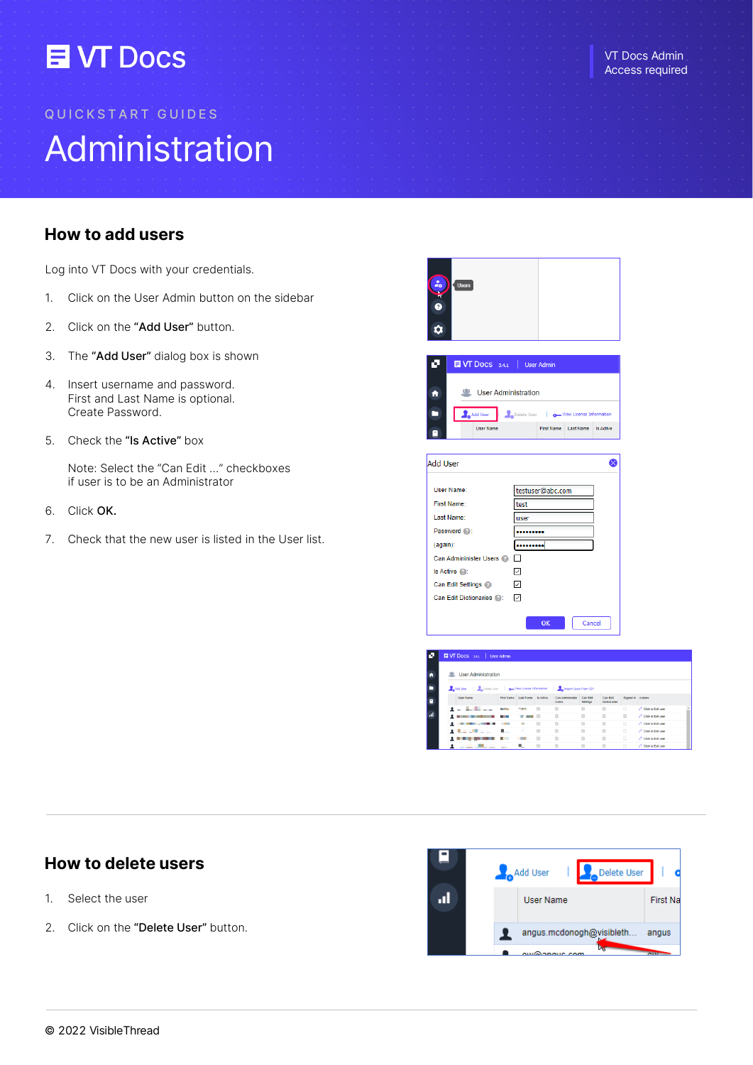# **EN Docs**

## Administration QUICKSTART GUIDES

## How to add users

Log into VT Docs with your credentials.

- 1. Click on the User Admin button on the sidebar
- 2. Click on the "Add User" button.
- 3. The "Add User" dialog box is shown
- 4. Insert username and password. First and Last Name is optional. Create Password.
- 5. Check the "Is Active" box

Note: Select the "Can Edit …" checkboxes if user is to be an Administrator

- 6. Click OK.
- 7. Check that the new user is listed in the User list.



|                                                                                  | <b>User Administration</b> |                                   |                  |                         |                      |                                 |                   |                        |
|----------------------------------------------------------------------------------|----------------------------|-----------------------------------|------------------|-------------------------|----------------------|---------------------------------|-------------------|------------------------|
| Add User   Delete User   and View License Information   Antonyort Users From CSV |                            |                                   |                  |                         |                      |                                 |                   |                        |
| User Name                                                                        |                            | First Name Last Name              | <b>Is Active</b> | Can Administer<br>Users | Can Edit<br>Settings | Can Edit<br><b>Dictionaries</b> | Signed In Actions |                        |
| and the first party                                                              |                            | <b>Color</b>                      |                  | $\Box$                  | $\mathbb{R}^n$       | $\mathbb{Z}$                    | $\Box$            | Click to Edit user     |
|                                                                                  | <b>Contract Contract</b>   | <b>The Company of the Company</b> |                  | $\Box$                  | $\Box$               | $\mathbb{Z}$                    | $\Box$            | C Click to Edit user   |
| ٠<br><b><i><u>A 1999</u></i></b> (1999) <b>2</b>                                 |                            | $\mathbb{R}$                      | $\mathbb{Z}^2$   | $\mathbb{R}^2$          | $\mathbb{R}^2$       | $\mathbb{Z}$                    | $\Box$            | O Click to Fight user  |
| <b>Contract Contract Contract</b>                                                |                            |                                   | $\Box$           | $\Box$                  | $\mathbb{Z}$         | $\mathbb{Z}$                    | $\Box$            | Click to Edit user     |
|                                                                                  |                            |                                   | $\Box$           | 12                      | $\mathbb{Z}$         | $\mathbb{Z}$                    | $\Box$            | O Click to Fight year. |
|                                                                                  |                            | н.,                               | $\Box$           | $52$                    | $\Box$               | $^{12}$                         | $\Box$            | $O$ Click to Edit user |

## How to delete users

- 1. Select the user
- 2. Click on the "Delete User" button.

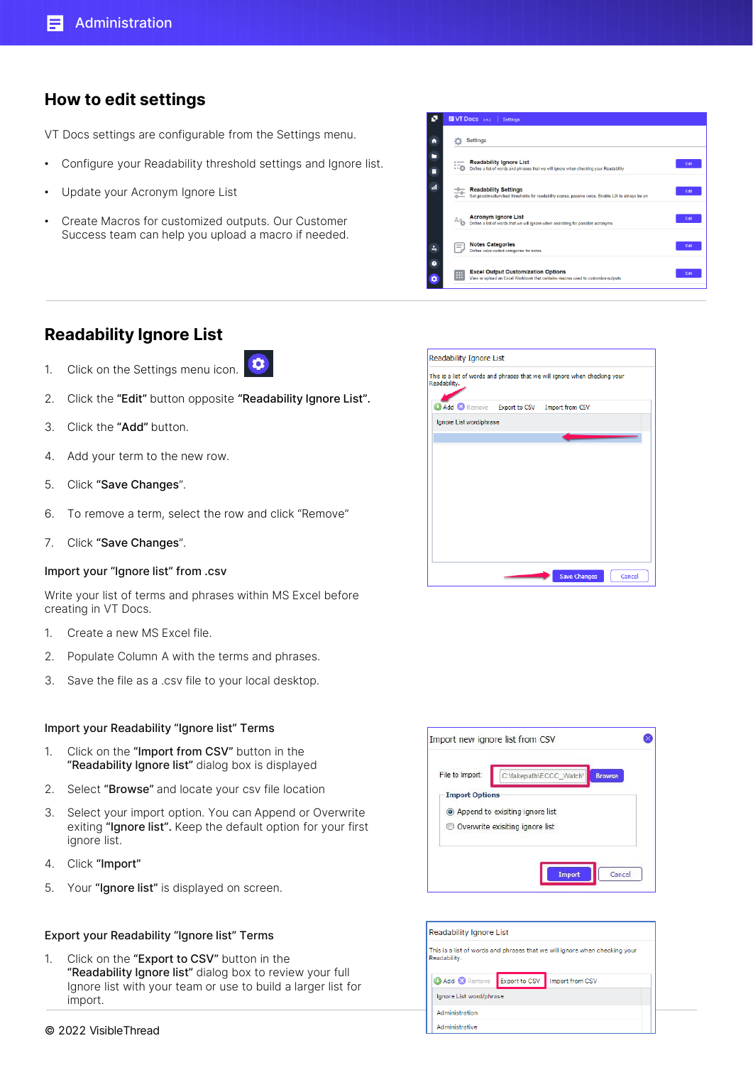## How to edit settings

VT Docs settings are configurable from the Settings menu.

- Configure your Readability threshold settings and Ignore list.
- Update your Acronym Ignore List
- Create Macros for customized outputs. Our Customer Success team can help you upload a macro if needed.

|                | <b>EVT Docs</b> 3.4.1  <br><b>Settings</b>                                                                                             |      |
|----------------|----------------------------------------------------------------------------------------------------------------------------------------|------|
| ₳              | <b>Settings</b>                                                                                                                        |      |
| ▬<br>Ξ         | <b>Readability Ignore List</b><br>$=$<br>- 0<br>Define a list of words and phrases that we will ignore when checking your Readability  | Fat  |
| al.            | <b>Readability Settings</b><br>-0-<br>Set good/medium/bad thresholds for readability scores, passive voice. Enable LIX to always be on | Edit |
|                | <b>Acronym Ignore List</b><br>Aą,<br>Define a list of words that we will ignore when searching for possible acronyms                   | Edit |
| ż.             | <b>Notes Categories</b><br>$=$<br>Define color-coded categories for notes                                                              | Fat  |
| $\bullet$<br>۰ | <b>Excel Output Customization Options</b><br>⊞<br>View or upload an Excel Workbook that contains macros used to customize outputs      | Fat  |

## Readability Ignore List

- $\bullet$ 1. Click on the Settings menu icon.
- 2. Click the "Edit" button opposite "Readability Ignore List".
- 3. Click the "Add" button.
- 4. Add your term to the new row.
- 5. Click "Save Changes".
- 6. To remove a term, select the row and click "Remove"
- 7. Click "Save Changes".

#### Import your "Ignore list" from .csv

Write your list of terms and phrases within MS Excel before creating in VT Docs.

- 1. Create a new MS Excel file.
- 2. Populate Column A with the terms and phrases.
- 3. Save the file as a .csv file to your local desktop.

#### Import your Readability "Ignore list" Terms

- 1. Click on the "Import from CSV" button in the "Readability Ignore list" dialog box is displayed
- 2. Select "Browse" and locate your csv file location
- 3. Select your import option. You can Append or Overwrite exiting "Ignore list". Keep the default option for your first ignore list.
- 4. Click "Import"
- 5. Your "Ignore list" is displayed on screen.

#### Export your Readability "Ignore list" Terms

1. Click on the "Export to CSV" button in the "Readability Ignore list" dialog box to review your full Ignore list with your team or use to build a larger list for import.



| File to Import:       | C:\fakepath\ECCC_Watch'<br><b>Browse</b> |
|-----------------------|------------------------------------------|
| <b>Import Options</b> |                                          |
|                       | • Append to exisiting ignore list        |
|                       | Overwrite exisiting ignore list          |

| Readability Ignore List |               |                                                                            |  |  |  |
|-------------------------|---------------|----------------------------------------------------------------------------|--|--|--|
| Readability.            |               | This is a list of words and phrases that we will ignore when checking your |  |  |  |
| Add & Remove            | Export to CSV | Import from CSV                                                            |  |  |  |
| Ignore List word/phrase |               |                                                                            |  |  |  |
| Administration          |               |                                                                            |  |  |  |
| Administrative          |               |                                                                            |  |  |  |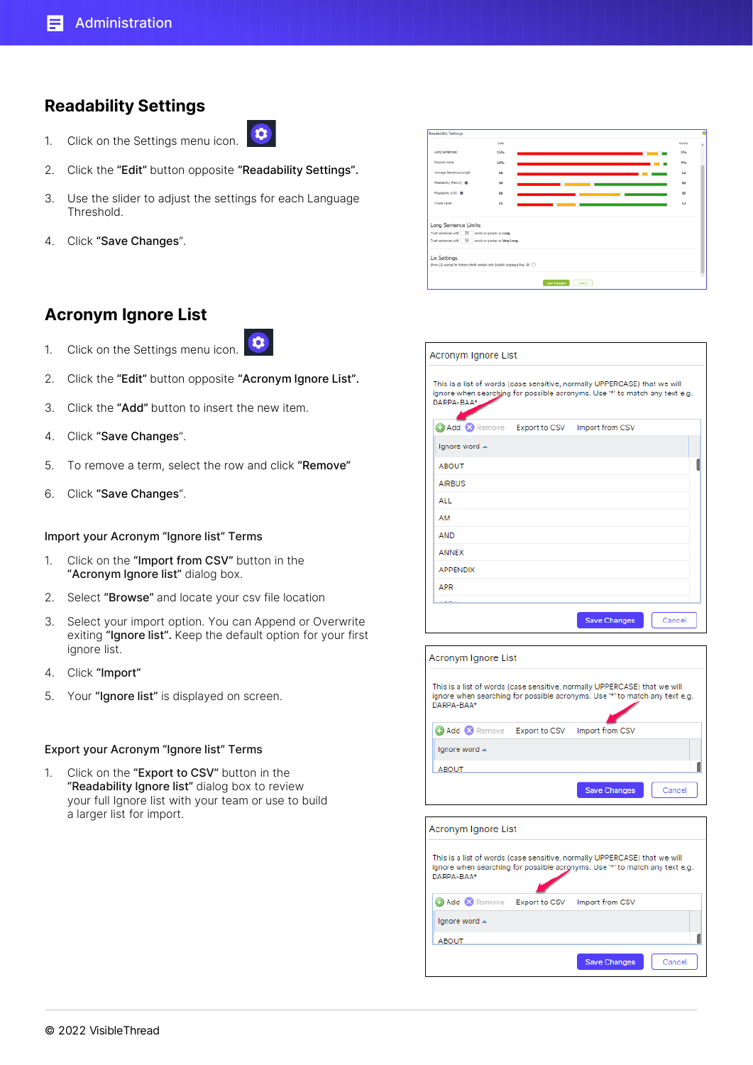## Readability Settings

- $\bullet$ 1. Click on the Settings menu icon.
- 2. Click the "Edit" button opposite "Readability Settings".
- 3. Use the slider to adjust the settings for each Language Threshold.
- 4. Click "Save Changes".

### Acronym Ignore List

- $\bullet$ 1. Click on the Settings menu icon.
- 2. Click the "Edit" button opposite "Acronym Ignore List".
- 3. Click the "Add" button to insert the new item.
- 4. Click "Save Changes".
- 5. To remove a term, select the row and click "Remove"
- 6. Click "Save Changes".

#### Import your Acronym "Ignore list" Terms

- 1. Click on the "Import from CSV" button in the "Acronym Ignore list" dialog box.
- 2. Select "Browse" and locate your csv file location
- 3. Select your import option. You can Append or Overwrite exiting "Ignore list". Keep the default option for your first ignore list.
- 4. Click "Import"
- 5. Your "Ignore list" is displayed on screen.

#### Export your Acronym "Ignore list" Terms

1. Click on the "Export to CSV" button in the "Readability Ignore list" dialog box to review your full Ignore list with your team or use to build a larger list for import.

| Readability Settings                                                                                                                                       |       |                     |        |  |  |              |
|------------------------------------------------------------------------------------------------------------------------------------------------------------|-------|---------------------|--------|--|--|--------------|
|                                                                                                                                                            | Didla |                     |        |  |  | <b>LYDDG</b> |
| Long Sentences:                                                                                                                                            | 15%   |                     |        |  |  | 5%           |
| Passive Voice:                                                                                                                                             | 10%   |                     |        |  |  | 4%           |
| Average Sentence Length:                                                                                                                                   | 18    |                     |        |  |  | 12           |
| Readability (Flesch): @                                                                                                                                    | 30    |                     |        |  |  | 50           |
| Readability (LIX): <sup>O</sup>                                                                                                                            | 60    |                     |        |  |  | 30           |
| Grade Level:                                                                                                                                               | 15    |                     |        |  |  | 12           |
| Long Sentence Limits<br>Treat sentences with 20 words or greater as Long.<br>Treat sentences with 30 words or greater as Very Long.<br><b>Lix Settings</b> |       |                     |        |  |  |              |
| Show LIX scores for folders which contain only English language files @ [                                                                                  |       |                     |        |  |  |              |
|                                                                                                                                                            |       | <b>Save Changes</b> | Cancel |  |  |              |

| Acronym Ignore List                                                                                                                                                    |  |                     |        |  |  |  |
|------------------------------------------------------------------------------------------------------------------------------------------------------------------------|--|---------------------|--------|--|--|--|
| This is a list of words (case sensitive, normally UPPERCASE) that we will<br>ignore when searching for possible acronyms. Use '*' to match any text e.g.<br>DARPA-BAA* |  |                     |        |  |  |  |
| Add & Remove Export to CSV Import from CSV                                                                                                                             |  |                     |        |  |  |  |
| Ignore word ▲                                                                                                                                                          |  |                     |        |  |  |  |
| <b>ABOUT</b>                                                                                                                                                           |  |                     |        |  |  |  |
| <b>AIRBUS</b>                                                                                                                                                          |  |                     |        |  |  |  |
| ALL.                                                                                                                                                                   |  |                     |        |  |  |  |
| AM                                                                                                                                                                     |  |                     |        |  |  |  |
| <b>AND</b>                                                                                                                                                             |  |                     |        |  |  |  |
| <b>ANNEX</b>                                                                                                                                                           |  |                     |        |  |  |  |
| <b>APPENDIX</b>                                                                                                                                                        |  |                     |        |  |  |  |
| <b>APR</b>                                                                                                                                                             |  |                     |        |  |  |  |
|                                                                                                                                                                        |  |                     |        |  |  |  |
|                                                                                                                                                                        |  | <b>Save Changes</b> | Cancel |  |  |  |

| Acronym Ignore List                                                                                                                                                    |                     |        |
|------------------------------------------------------------------------------------------------------------------------------------------------------------------------|---------------------|--------|
| This is a list of words (case sensitive, normally UPPERCASE) that we will<br>ignore when searching for possible acronyms. Use '*' to match any text e.g.<br>DARPA-BAA* |                     |        |
| <b>C</b> Add <b>C</b> Remove <b>Export to CSV</b>                                                                                                                      | Import from CSV     |        |
| Ignore word ▲                                                                                                                                                          |                     |        |
| <b>ABOUT</b>                                                                                                                                                           |                     |        |
|                                                                                                                                                                        | <b>Save Changes</b> | Cancel |
|                                                                                                                                                                        |                     |        |

| Acronym Ignore List                                                                                                                                                    |               |                     |        |
|------------------------------------------------------------------------------------------------------------------------------------------------------------------------|---------------|---------------------|--------|
| This is a list of words (case sensitive, normally UPPERCASE) that we will<br>ignore when searching for possible acronyms. Use '*' to match any text e.g.<br>DARPA-BAA* |               |                     |        |
| <b>Add X</b> Remove                                                                                                                                                    | Export to CSV | Import from CSV     |        |
| Ignore word $\triangle$                                                                                                                                                |               |                     |        |
| <b>ABOUT</b>                                                                                                                                                           |               |                     |        |
|                                                                                                                                                                        |               | <b>Save Changes</b> | Cancel |